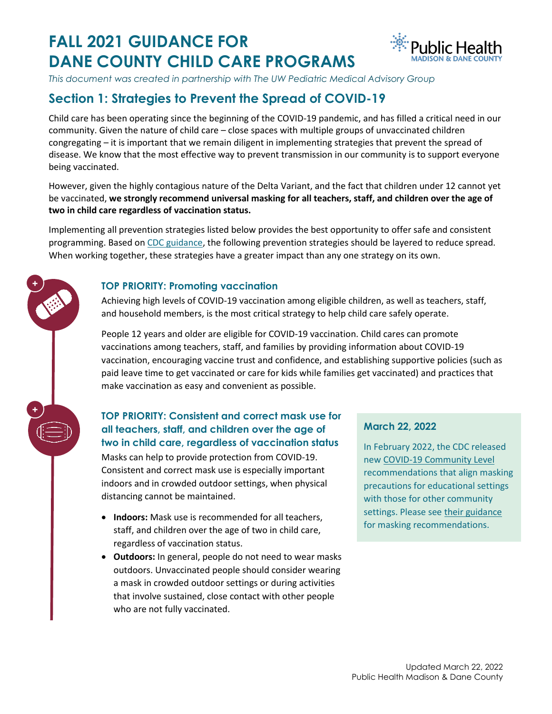# **FALL 2021 GUIDANCE FOR DANE COUNTY CHILD CARE PROGRAMS**



*This document was created in partnership with The UW Pediatric Medical Advisory Group* 

# **Section 1: Strategies to Prevent the Spread of COVID-19**

Child care has been operating since the beginning of the COVID-19 pandemic, and has filled a critical need in our community. Given the nature of child care – close spaces with multiple groups of unvaccinated children congregating – it is important that we remain diligent in implementing strategies that prevent the spread of disease. We know that the most effective way to prevent transmission in our community is to support everyone being vaccinated.

However, given the highly contagious nature of the Delta Variant, and the fact that children under 12 cannot yet be vaccinated, **we strongly recommend universal masking for all teachers, staff, and children over the age of two in child care regardless of vaccination status.**

Implementing all prevention strategies listed below provides the best opportunity to offer safe and consistent programming. Based o[n CDC guidance,](https://www.cdc.gov/coronavirus/2019-ncov/community/schools-childcare/child-care-guidance.html) the following prevention strategies should be layered to reduce spread. When working together, these strategies have a greater impact than any one strategy on its own.

#### **TOP PRIORITY: Promoting vaccination**

**+**

**+**

Achieving high levels of COVID-19 vaccination among eligible children, as well as teachers, staff, and household members, is the most critical strategy to help child care safely operate.

People 12 years and older are eligible for COVID-19 vaccination. Child cares can promote vaccinations among teachers, staff, and families by providing information about COVID-19 vaccination, encouraging vaccine trust and confidence, and establishing supportive policies (such as paid leave time to get vaccinated or care for kids while families get vaccinated) and practices that make vaccination as easy and convenient as possible.

#### **TOP PRIORITY: Consistent and correct mask use for all teachers, staff, and children over the age of two in child care, regardless of vaccination status**

Masks can help to provide protection from COVID-19. Consistent and correct mask use is especially important indoors and in crowded outdoor settings, when physical distancing cannot be maintained.

- **Indoors:** Mask use is recommended for all teachers, staff, and children over the age of two in child care, regardless of vaccination status.
- **Outdoors:** In general, people do not need to wear masks outdoors. Unvaccinated people should consider wearing a mask in crowded outdoor settings or during activities that involve sustained, close contact with other people who are not fully vaccinated.

#### **March 22, 2022**

In February 2022, the CDC released new [COVID-19 Community Level](https://www.cdc.gov/coronavirus/2019-ncov/your-health/covid-by-county.html) recommendations that align masking precautions for educational settings with those for other community settings. Please se[e their guidance](https://www.cdc.gov/coronavirus/2019-ncov/community/schools-childcare/k-12-guidance.html) for masking recommendations.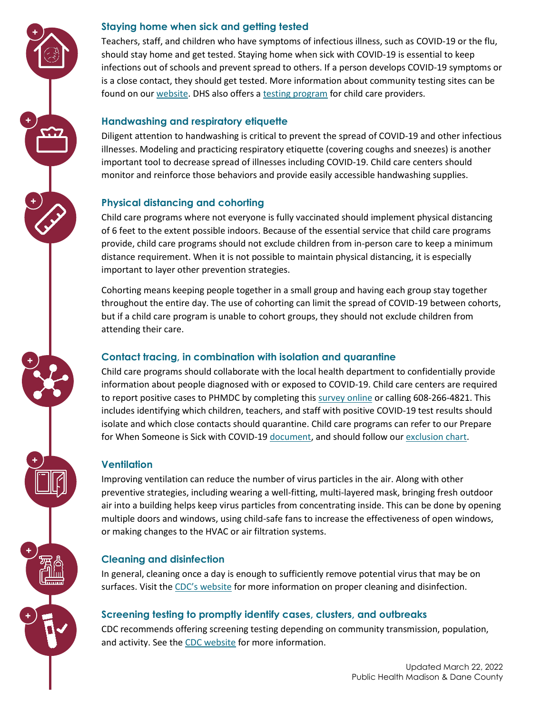#### **Staying home when sick and getting tested**

**+**

**+**

**+**

**+**

**+**

**+**

**+**

Teachers, staff, and children who have symptoms of infectious illness, such as COVID-19 or the flu, should stay home and get tested. Staying home when sick with COVID-19 is essential to keep infections out of schools and prevent spread to others. If a person develops COVID-19 symptoms or is a close contact, they should get tested. More information about community testing sites can be found on ou[r website.](https://publichealthmdc.com/coronavirus/testing) DHS also offers [a testing program](https://www.dhs.wisconsin.gov/covid-19/child-care.htm) for child care providers.

### **Handwashing and respiratory etiquette**

Diligent attention to handwashing is critical to prevent the spread of COVID-19 and other infectious illnesses. Modeling and practicing respiratory etiquette (covering coughs and sneezes) is another important tool to decrease spread of illnesses including COVID-19. Child care centers should monitor and reinforce those behaviors and provide easily accessible handwashing supplies.

# **Physical distancing and cohorting**

Child care programs where not everyone is fully vaccinated should implement physical distancing of 6 feet to the extent possible indoors. Because of the essential service that child care programs provide, child care programs should not exclude children from in-person care to keep a minimum distance requirement. When it is not possible to maintain physical distancing, it is especially important to layer other prevention strategies.

Cohorting means keeping people together in a small group and having each group stay together throughout the entire day. The use of cohorting can limit the spread of COVID-19 between cohorts, but if a child care program is unable to cohort groups, they should not exclude children from attending their care.

### **Contact tracing, in combination with isolation and quarantine**

Child care programs should collaborate with the local health department to confidentially provide information about people diagnosed with or exposed to COVID-19. Child care centers are required to report positive cases to PHMDC by completing this [survey online](https://survey.alchemer.com/s3/6077749/Child-Care-COVID-Reporting) or calling 608-266-4821. This includes identifying which children, teachers, and staff with positive COVID-19 test results should isolate and which close contacts should quarantine. Child care programs can refer to our Prepare for When Someone is Sick with COVID-19 [document,](https://publichealthmdc.com/documents/childcare_tests_positive.pdf) and should follow ou[r exclusion chart.](https://publichealthmdc.com/documents/exclusion_table.pdf)

# **Ventilation**

Improving ventilation can reduce the number of virus particles in the air. Along with other preventive strategies, including wearing a well-fitting, multi-layered mask, bringing fresh outdoor air into a building helps keep virus particles from concentrating inside. This can be done by opening multiple doors and windows, using child-safe fans to increase the effectiveness of open windows, or making changes to the HVAC or air filtration systems.

# **Cleaning and disinfection**

In general, cleaning once a day is enough to sufficiently remove potential virus that may be on surfaces. Visit the [CDC's website](https://www.cdc.gov/coronavirus/2019-ncov/community/disinfecting-building-facility.html) for more information on proper cleaning and disinfection.

# **Screening testing to promptly identify cases, clusters, and outbreaks**

CDC recommends offering screening testing depending on community transmission, population, and activity. See the [CDC website](https://www.cdc.gov/coronavirus/2019-ncov/community/schools-childcare/k-12-guidance.html#screening-testing) for more information.